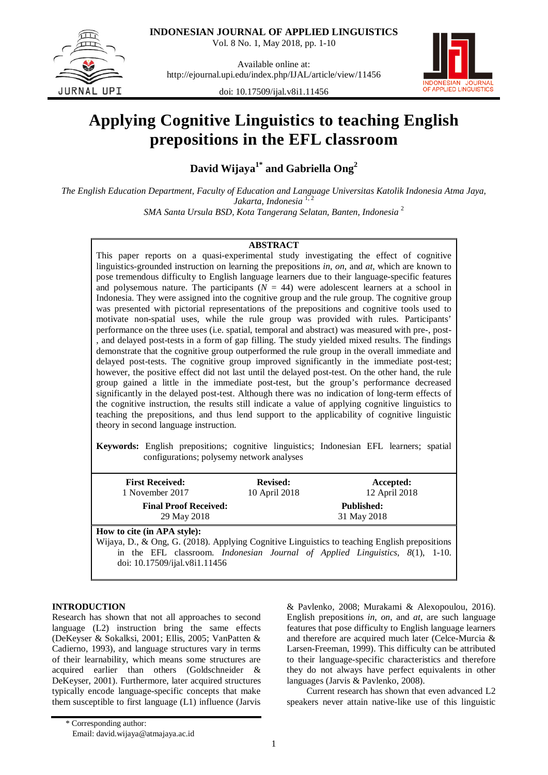

Vol. 8 No. 1, May 2018, pp. 1-10



Available online at: <http://ejournal.upi.edu/index.php/IJAL/article/view/11456>



doi: [10.17509/ijal.v8i1.11456](http://dx.doi.org/10.17509/ijal.v8i1.11456)

# **Applying Cognitive Linguistics to teaching English prepositions in the EFL classroom**

**David Wijaya1\* and Gabriella Ong2**

*The English Education Department, Faculty of Education and Language Universitas Katolik Indonesia Atma Jaya,*  Jakarta, Indonesia<sup>1,2</sup> *SMA Santa Ursula BSD, Kota Tangerang Selatan, Banten, Indonesia* <sup>2</sup>

### **ABSTRACT**

This paper reports on a quasi-experimental study investigating the effect of cognitive linguistics-grounded instruction on learning the prepositions *in*, *on*, and *at*, which are known to pose tremendous difficulty to English language learners due to their language-specific features and polysemous nature. The participants  $(N = 44)$  were adolescent learners at a school in Indonesia. They were assigned into the cognitive group and the rule group. The cognitive group was presented with pictorial representations of the prepositions and cognitive tools used to motivate non-spatial uses, while the rule group was provided with rules. Participants' performance on the three uses (i.e. spatial, temporal and abstract) was measured with pre-, post- , and delayed post-tests in a form of gap filling. The study yielded mixed results. The findings demonstrate that the cognitive group outperformed the rule group in the overall immediate and delayed post-tests. The cognitive group improved significantly in the immediate post-test; however, the positive effect did not last until the delayed post-test. On the other hand, the rule group gained a little in the immediate post-test, but the group's performance decreased significantly in the delayed post-test. Although there was no indication of long-term effects of the cognitive instruction, the results still indicate a value of applying cognitive linguistics to teaching the prepositions, and thus lend support to the applicability of cognitive linguistic theory in second language instruction.

**Keywords:** English prepositions; cognitive linguistics; Indonesian EFL learners; spatial configurations; polysemy network analyses

| <b>First Received:</b><br>1 November 2017   | <b>Revised:</b><br>10 April 2018 | Accepted:<br>12 April 2018       |  |
|---------------------------------------------|----------------------------------|----------------------------------|--|
| <b>Final Proof Received:</b><br>29 May 2018 |                                  | <b>Published:</b><br>31 May 2018 |  |
| How to cite (in APA style):                 |                                  |                                  |  |

Wijaya, D., & Ong, G. (2018). Applying Cognitive Linguistics to teaching English prepositions in the EFL classroom. *Indonesian Journal of Applied Linguistics, 8*(1), 1-10. doi: [10.17509/ijal.v8i1.11456](http://dx.doi.org/10.17509/ijal.v8i1.11456)

## **INTRODUCTION**

Research has shown that not all approaches to second language (L2) instruction bring the same effects (DeKeyser & Sokalksi, 2001; Ellis, 2005; VanPatten & Cadierno, 1993), and language structures vary in terms of their learnability, which means some structures are acquired earlier than others (Goldschneider & DeKeyser, 2001). Furthermore, later acquired structures typically encode language-specific concepts that make them susceptible to first language (L1) influence (Jarvis & Pavlenko, 2008; Murakami & Alexopoulou, 2016). English prepositions *in*, *on*, and *at*, are such language features that pose difficulty to English language learners and therefore are acquired much later (Celce-Murcia & Larsen-Freeman, 1999). This difficulty can be attributed to their language-specific characteristics and therefore they do not always have perfect equivalents in other languages (Jarvis & Pavlenko, 2008).

Current research has shown that even advanced L2 speakers never attain native-like use of this linguistic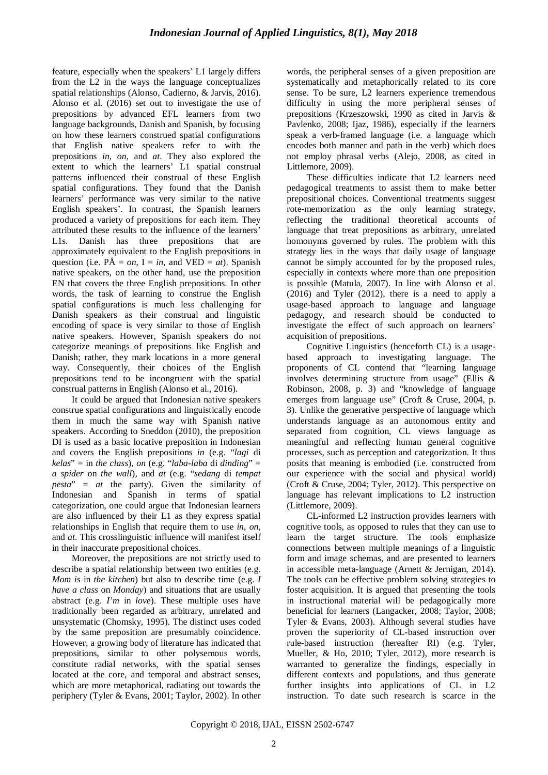feature, especially when the speakers' L1 largely differs from the L2 in the ways the language conceptualizes spatial relationships (Alonso, Cadierno, & Jarvis, 2016). Alonso et al. (2016) set out to investigate the use of prepositions by advanced EFL learners from two language backgrounds, Danish and Spanish, by focusing on how these learners construed spatial configurations that English native speakers refer to with the prepositions *in, on*, and *at*. They also explored the extent to which the learners' L1 spatial construal patterns influenced their construal of these English spatial configurations. They found that the Danish learners' performance was very similar to the native English speakers'. In contrast, the Spanish learners produced a variety of prepositions for each item. They attributed these results to the influence of the learners' L1s. Danish has three prepositions that are approximately equivalent to the English prepositions in question (i.e.  $\hat{PA} = on, I = in$ , and  $VED = at$ ). Spanish native speakers, on the other hand, use the preposition EN that covers the three English prepositions. In other words, the task of learning to construe the English spatial configurations is much less challenging for Danish speakers as their construal and linguistic encoding of space is very similar to those of English native speakers. However, Spanish speakers do not categorize meanings of prepositions like English and Danish; rather, they mark locations in a more general way. Consequently, their choices of the English prepositions tend to be incongruent with the spatial construal patterns in English (Alonso et al., 2016).

It could be argued that Indonesian native speakers construe spatial configurations and linguistically encode them in much the same way with Spanish native speakers. According to Sneddon (2010), the preposition DI is used as a basic locative preposition in Indonesian and covers the English prepositions *in* (e.g. "*lagi* di *kelas*" = in *the class*), *on* (e.g. "*laba-laba* di *dinding*" = *a spider* on *the wall*), and *at* (e.g. "*sedang* di *tempat pesta*" = *at* the party). Given the similarity of Indonesian and Spanish in terms of spatial categorization, one could argue that Indonesian learners are also influenced by their L1 as they express spatial relationships in English that require them to use *in*, *on*, and *at*. This crosslinguistic influence will manifest itself in their inaccurate prepositional choices.

Moreover, the prepositions are not strictly used to describe a spatial relationship between two entities (e.g. *Mom is* in *the kitchen*) but also to describe time (e.g. *I have a class* on *Monday*) and situations that are usually abstract (e.g. *I'm* in *love*). These multiple uses have traditionally been regarded as arbitrary, unrelated and unsystematic (Chomsky, 1995). The distinct uses coded by the same preposition are presumably coincidence. However, a growing body of literature has indicated that prepositions, similar to other polysemous words, constitute radial networks, with the spatial senses located at the core, and temporal and abstract senses, which are more metaphorical, radiating out towards the periphery (Tyler & Evans, 2001; Taylor, 2002). In other words, the peripheral senses of a given preposition are systematically and metaphorically related to its core sense. To be sure, L2 learners experience tremendous difficulty in using the more peripheral senses of prepositions (Krzeszowski, 1990 as cited in Jarvis & Pavlenko, 2008; Ijaz, 1986), especially if the learners speak a verb-framed language (i.e. a language which encodes both manner and path in the verb) which does not employ phrasal verbs (Alejo, 2008, as cited in Littlemore, 2009).

These difficulties indicate that L2 learners need pedagogical treatments to assist them to make better prepositional choices. Conventional treatments suggest rote-memorization as the only learning strategy, reflecting the traditional theoretical accounts of language that treat prepositions as arbitrary, unrelated homonyms governed by rules. The problem with this strategy lies in the ways that daily usage of language cannot be simply accounted for by the proposed rules, especially in contexts where more than one preposition is possible (Matula, 2007). In line with Alonso et al. (2016) and Tyler (2012), there is a need to apply a usage-based approach to language and language pedagogy, and research should be conducted to investigate the effect of such approach on learners' acquisition of prepositions.

Cognitive Linguistics (henceforth CL) is a usagebased approach to investigating language. The proponents of CL contend that "learning language involves determining structure from usage" (Ellis & Robinson, 2008, p. 3) and "knowledge of language emerges from language use" (Croft & Cruse, 2004, p. 3). Unlike the generative perspective of language which understands language as an autonomous entity and separated from cognition, CL views language as meaningful and reflecting human general cognitive processes, such as perception and categorization. It thus posits that meaning is embodied (i.e. constructed from our experience with the social and physical world) (Croft & Cruse, 2004; Tyler, 2012). This perspective on language has relevant implications to L2 instruction (Littlemore, 2009).

CL-informed L2 instruction provides learners with cognitive tools, as opposed to rules that they can use to learn the target structure. The tools emphasize connections between multiple meanings of a linguistic form and image schemas, and are presented to learners in accessible meta-language (Arnett & Jernigan, 2014). The tools can be effective problem solving strategies to foster acquisition. It is argued that presenting the tools in instructional material will be pedagogically more beneficial for learners (Langacker, 2008; Taylor, 2008; Tyler & Evans, 2003). Although several studies have proven the superiority of CL-based instruction over rule-based instruction (hereafter RI) (e.g. Tyler, Mueller, & Ho, 2010; Tyler, 2012), more research is warranted to generalize the findings, especially in different contexts and populations, and thus generate further insights into applications of CL in L2 instruction. To date such research is scarce in the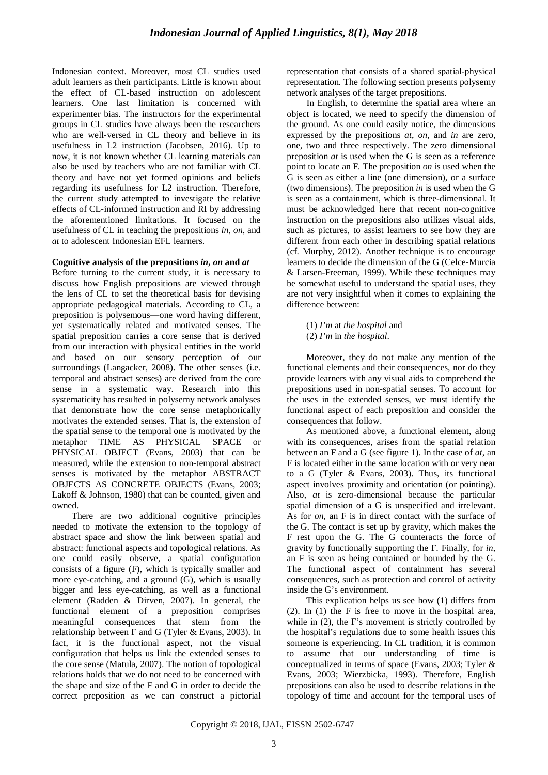Indonesian context. Moreover, most CL studies used adult learners as their participants. Little is known about the effect of CL-based instruction on adolescent learners. One last limitation is concerned with experimenter bias. The instructors for the experimental groups in CL studies have always been the researchers who are well-versed in CL theory and believe in its usefulness in L2 instruction (Jacobsen, 2016). Up to now, it is not known whether CL learning materials can also be used by teachers who are not familiar with CL theory and have not yet formed opinions and beliefs regarding its usefulness for L2 instruction. Therefore, the current study attempted to investigate the relative effects of CL-informed instruction and RI by addressing the aforementioned limitations. It focused on the usefulness of CL in teaching the prepositions *in*, *on*, and *at* to adolescent Indonesian EFL learners.

#### **Cognitive analysis of the prepositions** *in***,** *on* **and** *at*

Before turning to the current study, it is necessary to discuss how English prepositions are viewed through the lens of CL to set the theoretical basis for devising appropriate pedagogical materials. According to CL, a preposition is polysemous—one word having different, yet systematically related and motivated senses. The spatial preposition carries a core sense that is derived from our interaction with physical entities in the world and based on our sensory perception of our surroundings (Langacker, 2008). The other senses (i.e. temporal and abstract senses) are derived from the core sense in a systematic way. Research into this systematicity has resulted in polysemy network analyses that demonstrate how the core sense metaphorically motivates the extended senses. That is, the extension of the spatial sense to the temporal one is motivated by the metaphor TIME AS PHYSICAL SPACE or PHYSICAL OBJECT (Evans, 2003) that can be measured, while the extension to non-temporal abstract senses is motivated by the metaphor ABSTRACT OBJECTS AS CONCRETE OBJECTS (Evans, 2003; Lakoff & Johnson, 1980) that can be counted, given and owned.

There are two additional cognitive principles needed to motivate the extension to the topology of abstract space and show the link between spatial and abstract: functional aspects and topological relations. As one could easily observe, a spatial configuration consists of a figure (F), which is typically smaller and more eye-catching, and a ground (G), which is usually bigger and less eye-catching, as well as a functional element (Radden & Dirven, 2007). In general, the functional element of a preposition comprises meaningful consequences that stem from the relationship between F and G (Tyler & Evans, 2003). In fact, it is the functional aspect, not the visual configuration that helps us link the extended senses to the core sense (Matula, 2007). The notion of topological relations holds that we do not need to be concerned with the shape and size of the F and G in order to decide the correct preposition as we can construct a pictorial representation that consists of a shared spatial-physical representation. The following section presents polysemy network analyses of the target prepositions.

In English, to determine the spatial area where an object is located, we need to specify the dimension of the ground. As one could easily notice, the dimensions expressed by the prepositions *at*, *on*, and *in* are zero, one, two and three respectively. The zero dimensional preposition *at* is used when the G is seen as a reference point to locate an F. The preposition *on* is used when the G is seen as either a line (one dimension), or a surface (two dimensions). The preposition *in* is used when the G is seen as a containment, which is three-dimensional. It must be acknowledged here that recent non-cognitive instruction on the prepositions also utilizes visual aids, such as pictures, to assist learners to see how they are different from each other in describing spatial relations (cf. Murphy, 2012). Another technique is to encourage learners to decide the dimension of the G (Celce-Murcia & Larsen-Freeman, 1999). While these techniques may be somewhat useful to understand the spatial uses, they are not very insightful when it comes to explaining the difference between:

- (1) *I'm* at *the hospital* and
- (2) *I'm* in *the hospital*.

Moreover, they do not make any mention of the functional elements and their consequences, nor do they provide learners with any visual aids to comprehend the prepositions used in non-spatial senses. To account for the uses in the extended senses, we must identify the functional aspect of each preposition and consider the consequences that follow.

As mentioned above, a functional element, along with its consequences, arises from the spatial relation between an F and a G (see figure 1). In the case of *at*, an F is located either in the same location with or very near to a G (Tyler & Evans, 2003). Thus, its functional aspect involves proximity and orientation (or pointing). Also, *at* is zero-dimensional because the particular spatial dimension of a G is unspecified and irrelevant. As for *on*, an F is in direct contact with the surface of the G. The contact is set up by gravity, which makes the F rest upon the G. The G counteracts the force of gravity by functionally supporting the F. Finally, for *in*, an F is seen as being contained or bounded by the G. The functional aspect of containment has several consequences, such as protection and control of activity inside the G's environment.

This explication helps us see how (1) differs from (2). In (1) the F is free to move in the hospital area, while in  $(2)$ , the F's movement is strictly controlled by the hospital's regulations due to some health issues this someone is experiencing. In CL tradition, it is common to assume that our understanding of time is conceptualized in terms of space (Evans, 2003; Tyler & Evans, 2003; Wierzbicka, 1993). Therefore, English prepositions can also be used to describe relations in the topology of time and account for the temporal uses of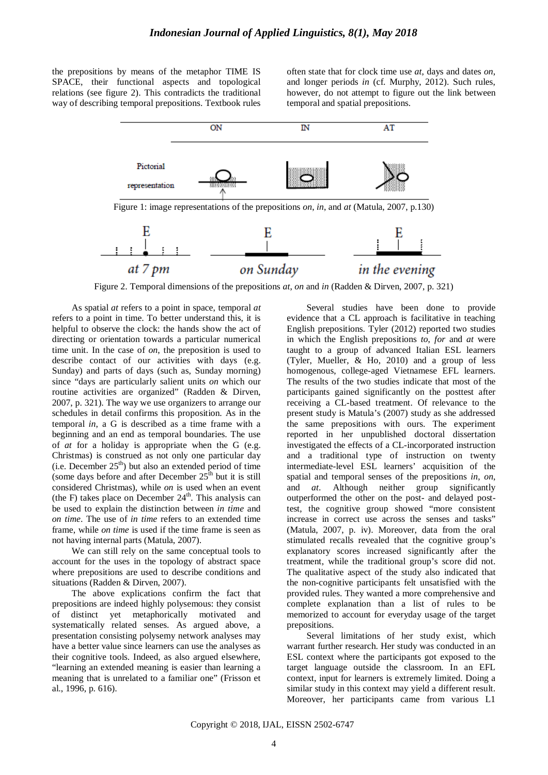the prepositions by means of the metaphor TIME IS SPACE, their functional aspects and topological relations (see figure 2). This contradicts the traditional way of describing temporal prepositions. Textbook rules

often state that for clock time use *at*, days and dates *on*, and longer periods *in* (cf. Murphy, 2012). Such rules, however, do not attempt to figure out the link between temporal and spatial prepositions.



Figure 2. Temporal dimensions of the prepositions *at*, *on* and *in* (Radden & Dirven, 2007, p. 321)

As spatial *at* refers to a point in space, temporal *at* refers to a point in time. To better understand this, it is helpful to observe the clock: the hands show the act of directing or orientation towards a particular numerical time unit. In the case of *on*, the preposition is used to describe contact of our activities with days (e.g. Sunday) and parts of days (such as, Sunday morning) since "days are particularly salient units *on* which our routine activities are organized" (Radden & Dirven, 2007, p. 321). The way we use organizers to arrange our schedules in detail confirms this proposition. As in the temporal *in*, a G is described as a time frame with a beginning and an end as temporal boundaries. The use of *at* for a holiday is appropriate when the G (e.g. Christmas) is construed as not only one particular day (i.e. December  $25<sup>th</sup>$ ) but also an extended period of time (some days before and after December  $25<sup>th</sup>$  but it is still considered Christmas), while *on* is used when an event (the F) takes place on December  $24<sup>th</sup>$ . This analysis can be used to explain the distinction between *in time* and *on time*. The use of *in time* refers to an extended time frame, while *on time* is used if the time frame is seen as not having internal parts (Matula, 2007).

We can still rely on the same conceptual tools to account for the uses in the topology of abstract space where prepositions are used to describe conditions and situations (Radden & Dirven, 2007).

The above explications confirm the fact that prepositions are indeed highly polysemous: they consist of distinct yet metaphorically motivated and systematically related senses. As argued above, a presentation consisting polysemy network analyses may have a better value since learners can use the analyses as their cognitive tools. Indeed, as also argued elsewhere, "learning an extended meaning is easier than learning a meaning that is unrelated to a familiar one" (Frisson et al., 1996, p. 616).

Several studies have been done to provide evidence that a CL approach is facilitative in teaching English prepositions. Tyler (2012) reported two studies in which the English prepositions *to*, *for* and *at* were taught to a group of advanced Italian ESL learners (Tyler, Mueller, & Ho, 2010) and a group of less homogenous, college-aged Vietnamese EFL learners. The results of the two studies indicate that most of the participants gained significantly on the posttest after receiving a CL-based treatment. Of relevance to the present study is Matula's (2007) study as she addressed the same prepositions with ours. The experiment reported in her unpublished doctoral dissertation investigated the effects of a CL-incorporated instruction and a traditional type of instruction on twenty intermediate-level ESL learners' acquisition of the spatial and temporal senses of the prepositions *in*, *on*, and *at*. Although neither group significantly outperformed the other on the post- and delayed posttest, the cognitive group showed "more consistent increase in correct use across the senses and tasks" (Matula, 2007, p. iv). Moreover, data from the oral stimulated recalls revealed that the cognitive group's explanatory scores increased significantly after the treatment, while the traditional group's score did not. The qualitative aspect of the study also indicated that the non-cognitive participants felt unsatisfied with the provided rules. They wanted a more comprehensive and complete explanation than a list of rules to be memorized to account for everyday usage of the target prepositions.

Several limitations of her study exist, which warrant further research. Her study was conducted in an ESL context where the participants got exposed to the target language outside the classroom. In an EFL context, input for learners is extremely limited. Doing a similar study in this context may yield a different result. Moreover, her participants came from various L1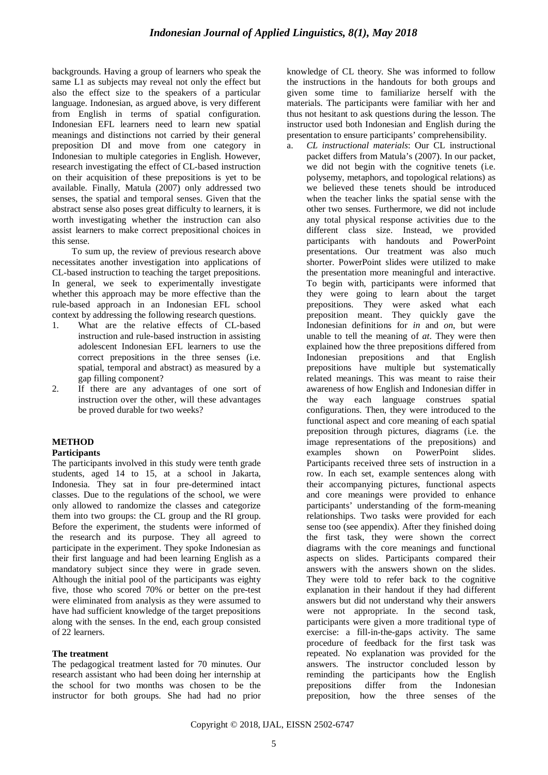backgrounds. Having a group of learners who speak the same L1 as subjects may reveal not only the effect but also the effect size to the speakers of a particular language. Indonesian, as argued above, is very different from English in terms of spatial configuration. Indonesian EFL learners need to learn new spatial meanings and distinctions not carried by their general preposition DI and move from one category in Indonesian to multiple categories in English. However, research investigating the effect of CL-based instruction on their acquisition of these prepositions is yet to be available. Finally, Matula (2007) only addressed two senses, the spatial and temporal senses. Given that the abstract sense also poses great difficulty to learners, it is worth investigating whether the instruction can also assist learners to make correct prepositional choices in this sense.

To sum up, the review of previous research above necessitates another investigation into applications of CL-based instruction to teaching the target prepositions. In general, we seek to experimentally investigate whether this approach may be more effective than the rule-based approach in an Indonesian EFL school context by addressing the following research questions.

- 1. What are the relative effects of CL-based instruction and rule-based instruction in assisting adolescent Indonesian EFL learners to use the correct prepositions in the three senses (i.e. spatial, temporal and abstract) as measured by a gap filling component?
- 2. If there are any advantages of one sort of instruction over the other, will these advantages be proved durable for two weeks?

# **METHOD**

## **Participants**

The participants involved in this study were tenth grade students, aged 14 to 15, at a school in Jakarta, Indonesia. They sat in four pre-determined intact classes. Due to the regulations of the school, we were only allowed to randomize the classes and categorize them into two groups: the CL group and the RI group. Before the experiment, the students were informed of the research and its purpose. They all agreed to participate in the experiment. They spoke Indonesian as their first language and had been learning English as a mandatory subject since they were in grade seven. Although the initial pool of the participants was eighty five, those who scored 70% or better on the pre-test were eliminated from analysis as they were assumed to have had sufficient knowledge of the target prepositions along with the senses. In the end, each group consisted of 22 learners.

## **The treatment**

The pedagogical treatment lasted for 70 minutes. Our research assistant who had been doing her internship at the school for two months was chosen to be the instructor for both groups. She had had no prior knowledge of CL theory. She was informed to follow the instructions in the handouts for both groups and given some time to familiarize herself with the materials. The participants were familiar with her and thus not hesitant to ask questions during the lesson. The instructor used both Indonesian and English during the presentation to ensure participants' comprehensibility.

a. *CL instructional materials*: Our CL instructional packet differs from Matula's (2007). In our packet, we did not begin with the cognitive tenets (i.e. polysemy, metaphors, and topological relations) as we believed these tenets should be introduced when the teacher links the spatial sense with the other two senses. Furthermore, we did not include any total physical response activities due to the different class size. Instead, we provided participants with handouts and PowerPoint presentations. Our treatment was also much shorter. PowerPoint slides were utilized to make the presentation more meaningful and interactive. To begin with, participants were informed that they were going to learn about the target prepositions. They were asked what each preposition meant. They quickly gave the Indonesian definitions for *in* and *on*, but were unable to tell the meaning of *at*. They were then explained how the three prepositions differed from Indonesian prepositions and that English prepositions have multiple but systematically related meanings. This was meant to raise their awareness of how English and Indonesian differ in the way each language construes spatial configurations. Then, they were introduced to the functional aspect and core meaning of each spatial preposition through pictures, diagrams (i.e. the image representations of the prepositions) and examples shown on PowerPoint slides. Participants received three sets of instruction in a row. In each set, example sentences along with their accompanying pictures, functional aspects and core meanings were provided to enhance participants' understanding of the form-meaning relationships. Two tasks were provided for each sense too (see appendix). After they finished doing the first task, they were shown the correct diagrams with the core meanings and functional aspects on slides. Participants compared their answers with the answers shown on the slides. They were told to refer back to the cognitive explanation in their handout if they had different answers but did not understand why their answers were not appropriate. In the second task, participants were given a more traditional type of exercise: a fill-in-the-gaps activity. The same procedure of feedback for the first task was repeated. No explanation was provided for the answers. The instructor concluded lesson by reminding the participants how the English<br>prepositions differ from the Indonesian prepositions differ from the Indonesian preposition, how the three senses of the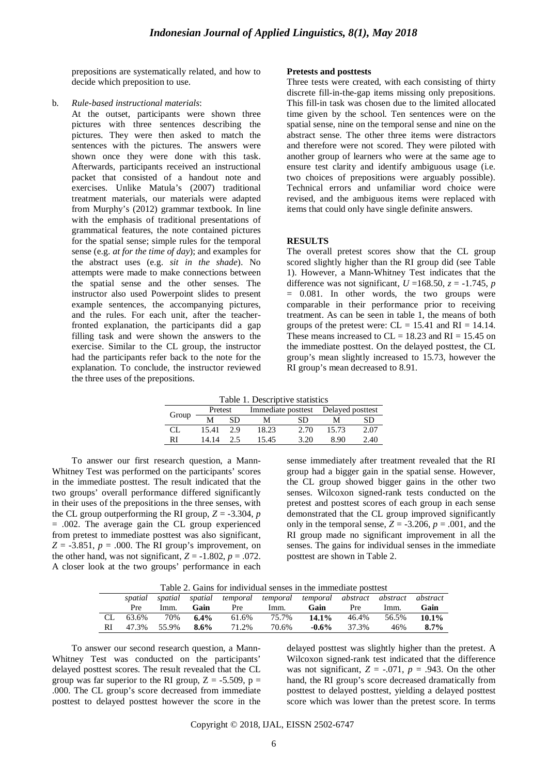prepositions are systematically related, and how to decide which preposition to use.

#### b. *Rule-based instructional materials*:

At the outset, participants were shown three pictures with three sentences describing the pictures. They were then asked to match the sentences with the pictures. The answers were shown once they were done with this task. Afterwards, participants received an instructional packet that consisted of a handout note and exercises. Unlike Matula's (2007) traditional treatment materials, our materials were adapted from Murphy's (2012) grammar textbook. In line with the emphasis of traditional presentations of grammatical features, the note contained pictures for the spatial sense; simple rules for the temporal sense (e.g. *at for the time of day*); and examples for the abstract uses (e.g. *sit in the shade*). No attempts were made to make connections between the spatial sense and the other senses. The instructor also used Powerpoint slides to present example sentences, the accompanying pictures, and the rules. For each unit, after the teacherfronted explanation, the participants did a gap filling task and were shown the answers to the exercise. Similar to the CL group, the instructor had the participants refer back to the note for the explanation. To conclude, the instructor reviewed the three uses of the prepositions.

#### **Pretests and posttests**

Three tests were created, with each consisting of thirty discrete fill-in-the-gap items missing only prepositions. This fill-in task was chosen due to the limited allocated time given by the school. Ten sentences were on the spatial sense, nine on the temporal sense and nine on the abstract sense. The other three items were distractors and therefore were not scored. They were piloted with another group of learners who were at the same age to ensure test clarity and identify ambiguous usage (i.e. two choices of prepositions were arguably possible). Technical errors and unfamiliar word choice were revised, and the ambiguous items were replaced with items that could only have single definite answers.

#### **RESULTS**

The overall pretest scores show that the CL group scored slightly higher than the RI group did (see Table 1). However, a Mann-Whitney Test indicates that the difference was not significant,  $U = 168.50$ ,  $z = -1.745$ , *p* = 0.081. In other words, the two groups were comparable in their performance prior to receiving treatment. As can be seen in table 1, the means of both groups of the pretest were:  $CL = 15.41$  and  $RI = 14.14$ . These means increased to  $CL = 18.23$  and  $RI = 15.45$  on the immediate posttest. On the delayed posttest, the CL group's mean slightly increased to 15.73, however the RI group's mean decreased to 8.91.

Table 1. Descriptive statistics

| Group | Pretest |     |       |      | Immediate posttest Delayed posttest |      |
|-------|---------|-----|-------|------|-------------------------------------|------|
|       |         | SD  | M     | SD   |                                     | SD   |
| CI.   | 15.41   | 29  | 18.23 | 2.70 | 15.73                               | 2.07 |
| RI    | 14 14   | 2.5 | 15.45 | 3.20 | 890                                 | 2.40 |

To answer our first research question, a Mann-Whitney Test was performed on the participants' scores in the immediate posttest. The result indicated that the two groups' overall performance differed significantly in their uses of the prepositions in the three senses, with the CL group outperforming the RI group,  $Z = -3.304$ , *p* = .002. The average gain the CL group experienced from pretest to immediate posttest was also significant,  $Z = -3.851$ ,  $p = .000$ . The RI group's improvement, on the other hand, was not significant,  $Z = -1.802$ ,  $p = .072$ . A closer look at the two groups' performance in each sense immediately after treatment revealed that the RI group had a bigger gain in the spatial sense. However, the CL group showed bigger gains in the other two senses. Wilcoxon signed-rank tests conducted on the pretest and posttest scores of each group in each sense demonstrated that the CL group improved significantly only in the temporal sense,  $Z = -3.206$ ,  $p = .001$ , and the RI group made no significant improvement in all the senses. The gains for individual senses in the immediate posttest are shown in Table 2.

|  |  |  |  |  | Table 2. Gains for individual senses in the immediate posttest |  |
|--|--|--|--|--|----------------------------------------------------------------|--|
|--|--|--|--|--|----------------------------------------------------------------|--|

|     | Table 2. Gams for murviqual senses in the infinediate positest |       |            |       |                                                              |          |            |       |          |
|-----|----------------------------------------------------------------|-------|------------|-------|--------------------------------------------------------------|----------|------------|-------|----------|
|     | spatial                                                        |       |            |       | spatial spatial temporal temporal temporal abstract abstract |          |            |       | abstract |
|     | Pre                                                            | Imm.  | Gain       | Pre   | Imm.                                                         | Gain     | <b>Pre</b> | lmm.  | Gain     |
| CL. | 63.6%                                                          |       | 70\% 6.4\% | 61.6% | 75.7%                                                        | $14.1\%$ | 46.4%      | 56.5% | $10.1\%$ |
| RI  | 47.3%                                                          | 55.9% | - 8.6%     | 71.2% | 70.6%                                                        | $-0.6\%$ | 37.3%      | 46%   | $8.7\%$  |

To answer our second research question, a Mann-Whitney Test was conducted on the participants' delayed posttest scores. The result revealed that the CL group was far superior to the RI group,  $Z = -5.509$ ,  $p =$ .000. The CL group's score decreased from immediate posttest to delayed posttest however the score in the delayed posttest was slightly higher than the pretest. A Wilcoxon signed-rank test indicated that the difference was not significant,  $Z = -.071$ ,  $p = .943$ . On the other hand, the RI group's score decreased dramatically from posttest to delayed posttest, yielding a delayed posttest score which was lower than the pretest score. In terms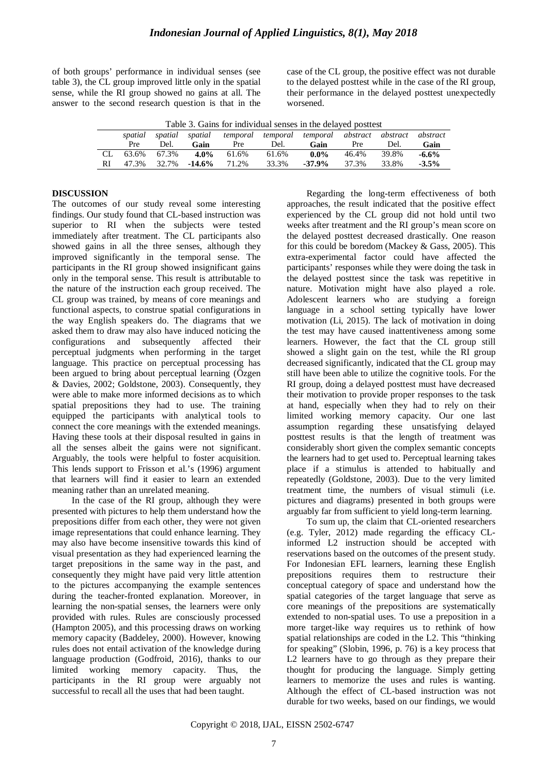of both groups' performance in individual senses (see table 3), the CL group improved little only in the spatial sense, while the RI group showed no gains at all. The answer to the second research question is that in the case of the CL group, the positive effect was not durable to the delayed posttest while in the case of the RI group, their performance in the delayed posttest unexpectedly worsened.

|     | spatial | spatial     |           |       |       | spatial temporal temporal temporal abstract abstract |       |       | abstract |
|-----|---------|-------------|-----------|-------|-------|------------------------------------------------------|-------|-------|----------|
|     | Pre     | Del.        | Gain      | Pre   | Del.  | Gain                                                 | Pre   | Del.  | Gain     |
| CL. |         | 63.6% 67.3% | $4.0\%$   | 61.6% | 61.6% | $0.0\%$                                              | 46.4% | 39.8% | $-6.6%$  |
| RI  | 47.3%   | 32.7%       | $-14.6\%$ | 71.2% | 33.3% | $-37.9\%$                                            | 37.3% | 33.8% | $-3.5\%$ |

#### **DISCUSSION**

The outcomes of our study reveal some interesting findings. Our study found that CL-based instruction was superior to RI when the subjects were tested immediately after treatment. The CL participants also showed gains in all the three senses, although they improved significantly in the temporal sense. The participants in the RI group showed insignificant gains only in the temporal sense. This result is attributable to the nature of the instruction each group received. The CL group was trained, by means of core meanings and functional aspects, to construe spatial configurations in the way English speakers do. The diagrams that we asked them to draw may also have induced noticing the configurations and subsequently affected their perceptual judgments when performing in the target language. This practice on perceptual processing has been argued to bring about perceptual learning (Özgen & Davies, 2002; Goldstone, 2003). Consequently, they were able to make more informed decisions as to which spatial prepositions they had to use. The training equipped the participants with analytical tools to connect the core meanings with the extended meanings. Having these tools at their disposal resulted in gains in all the senses albeit the gains were not significant. Arguably, the tools were helpful to foster acquisition. This lends support to Frisson et al.'s (1996) argument that learners will find it easier to learn an extended meaning rather than an unrelated meaning.

In the case of the RI group, although they were presented with pictures to help them understand how the prepositions differ from each other, they were not given image representations that could enhance learning. They may also have become insensitive towards this kind of visual presentation as they had experienced learning the target prepositions in the same way in the past, and consequently they might have paid very little attention to the pictures accompanying the example sentences during the teacher-fronted explanation. Moreover, in learning the non-spatial senses, the learners were only provided with rules. Rules are consciously processed (Hampton 2005), and this processing draws on working memory capacity (Baddeley, 2000). However, knowing rules does not entail activation of the knowledge during language production (Godfroid, 2016), thanks to our limited working memory capacity. Thus, the participants in the RI group were arguably not successful to recall all the uses that had been taught.

Regarding the long-term effectiveness of both approaches, the result indicated that the positive effect experienced by the CL group did not hold until two weeks after treatment and the RI group's mean score on the delayed posttest decreased drastically. One reason for this could be boredom (Mackey & Gass, 2005). This extra-experimental factor could have affected the participants' responses while they were doing the task in the delayed posttest since the task was repetitive in nature. Motivation might have also played a role. Adolescent learners who are studying a foreign language in a school setting typically have lower motivation (Li, 2015). The lack of motivation in doing the test may have caused inattentiveness among some learners. However, the fact that the CL group still showed a slight gain on the test, while the RI group decreased significantly, indicated that the CL group may still have been able to utilize the cognitive tools. For the RI group, doing a delayed posttest must have decreased their motivation to provide proper responses to the task at hand, especially when they had to rely on their limited working memory capacity. Our one last assumption regarding these unsatisfying delayed posttest results is that the length of treatment was considerably short given the complex semantic concepts the learners had to get used to. Perceptual learning takes place if a stimulus is attended to habitually and repeatedly (Goldstone, 2003). Due to the very limited treatment time, the numbers of visual stimuli (i.e. pictures and diagrams) presented in both groups were arguably far from sufficient to yield long-term learning.

To sum up, the claim that CL-oriented researchers (e.g. Tyler, 2012) made regarding the efficacy CLinformed L2 instruction should be accepted with reservations based on the outcomes of the present study. For Indonesian EFL learners, learning these English prepositions requires them to restructure their conceptual category of space and understand how the spatial categories of the target language that serve as core meanings of the prepositions are systematically extended to non-spatial uses. To use a preposition in a more target-like way requires us to rethink of how spatial relationships are coded in the L2. This "thinking for speaking" (Slobin, 1996, p. 76) is a key process that L2 learners have to go through as they prepare their thought for producing the language. Simply getting learners to memorize the uses and rules is wanting. Although the effect of CL-based instruction was not durable for two weeks, based on our findings, we would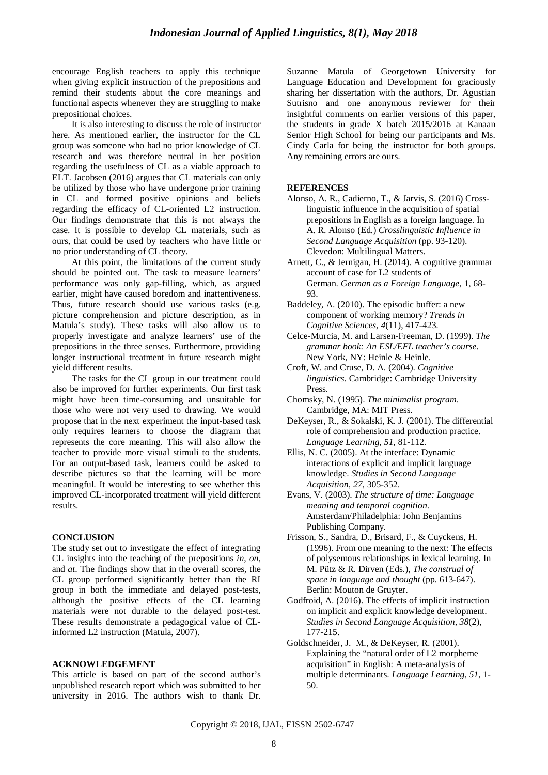encourage English teachers to apply this technique when giving explicit instruction of the prepositions and remind their students about the core meanings and functional aspects whenever they are struggling to make prepositional choices.

It is also interesting to discuss the role of instructor here. As mentioned earlier, the instructor for the CL group was someone who had no prior knowledge of CL research and was therefore neutral in her position regarding the usefulness of CL as a viable approach to ELT. Jacobsen (2016) argues that CL materials can only be utilized by those who have undergone prior training in CL and formed positive opinions and beliefs regarding the efficacy of CL-oriented L2 instruction. Our findings demonstrate that this is not always the case. It is possible to develop CL materials, such as ours, that could be used by teachers who have little or no prior understanding of CL theory.

At this point, the limitations of the current study should be pointed out. The task to measure learners' performance was only gap-filling, which, as argued earlier, might have caused boredom and inattentiveness. Thus, future research should use various tasks (e.g. picture comprehension and picture description, as in Matula's study). These tasks will also allow us to properly investigate and analyze learners' use of the prepositions in the three senses. Furthermore, providing longer instructional treatment in future research might yield different results.

The tasks for the CL group in our treatment could also be improved for further experiments. Our first task might have been time-consuming and unsuitable for those who were not very used to drawing. We would propose that in the next experiment the input-based task only requires learners to choose the diagram that represents the core meaning. This will also allow the teacher to provide more visual stimuli to the students. For an output-based task, learners could be asked to describe pictures so that the learning will be more meaningful. It would be interesting to see whether this improved CL-incorporated treatment will yield different results.

#### **CONCLUSION**

The study set out to investigate the effect of integrating CL insights into the teaching of the prepositions *in*, *on*, and *at*. The findings show that in the overall scores, the CL group performed significantly better than the RI group in both the immediate and delayed post-tests, although the positive effects of the CL learning materials were not durable to the delayed post-test. These results demonstrate a pedagogical value of CLinformed L2 instruction (Matula, 2007).

#### **ACKNOWLEDGEMENT**

This article is based on part of the second author's unpublished research report which was submitted to her university in 2016. The authors wish to thank Dr. Suzanne Matula of Georgetown University for Language Education and Development for graciously sharing her dissertation with the authors, Dr. Agustian Sutrisno and one anonymous reviewer for their insightful comments on earlier versions of this paper, the students in grade X batch 2015/2016 at Kanaan Senior High School for being our participants and Ms. Cindy Carla for being the instructor for both groups. Any remaining errors are ours.

#### **REFERENCES**

- Alonso, A. R., Cadierno, T., & Jarvis, S. (2016) Crosslinguistic influence in the acquisition of spatial prepositions in English as a foreign language. In A. R. Alonso (Ed.) *Crosslinguistic Influence in Second Language Acquisition* (pp. 93-120). Clevedon: Multilingual Matters.
- Arnett, C., & Jernigan, H. (2014). A cognitive grammar account of case for L2 students of German. *German as a Foreign Language*, 1, 68- 93.
- Baddeley, A. (2010). The episodic buffer: a new component of working memory? *Trends in Cognitive Sciences, 4*(11), 417-423.
- Celce-Murcia, M. and Larsen-Freeman, D. (1999). *The grammar book: An ESL/EFL teacher's course*. New York, NY: Heinle & Heinle.
- Croft, W. and Cruse, D. A. (2004). *Cognitive linguistics.* Cambridge: Cambridge University Press.
- Chomsky, N. (1995). *The minimalist program*. Cambridge, MA: MIT Press.
- DeKeyser, R., & Sokalski, K. J. (2001). The differential role of comprehension and production practice. *Language Learning*, *51*, 81-112.
- Ellis, N. C. (2005). At the interface: Dynamic interactions of explicit and implicit language knowledge. *Studies in Second Language Acquisition*, *27,* 305-352.
- Evans, V. (2003). *The structure of time: Language meaning and temporal cognition*. Amsterdam/Philadelphia: John Benjamins Publishing Company.
- Frisson, S., Sandra, D., Brisard, F., & Cuyckens, H. (1996). From one meaning to the next: The effects of polysemous relationships in lexical learning. In M. Pütz & R. Dirven (Eds.), *The construal of space in language and thought* (pp. 613-647). Berlin: Mouton de Gruyter.
- Godfroid, A. (2016). The effects of implicit instruction on implicit and explicit knowledge development. *Studies in Second Language Acquisition, 38*(2)*,* 177-215.
- Goldschneider, J. M., & DeKeyser, R. (2001). Explaining the "natural order of L2 morpheme acquisition" in English: A meta-analysis of multiple determinants. *Language Learning*, *51*, 1- 50.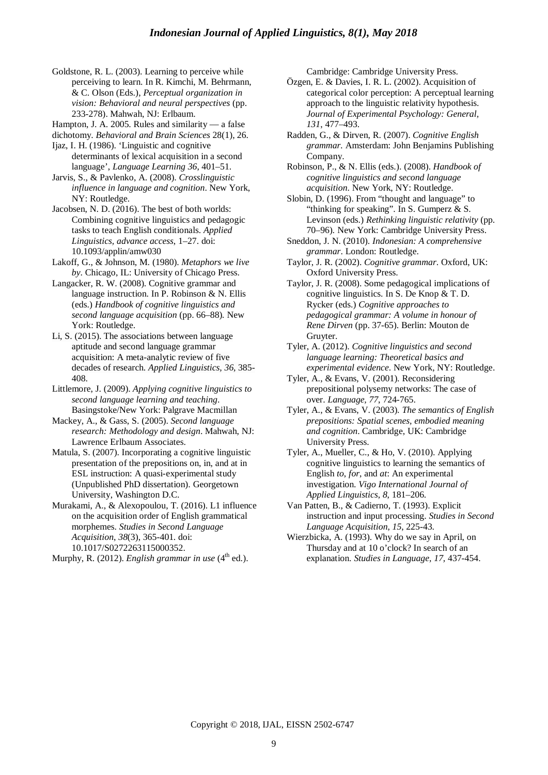- Goldstone, R. L. (2003). Learning to perceive while perceiving to learn. In R. Kimchi, M. Behrmann, & C. Olson (Eds.), *Perceptual organization in vision: Behavioral and neural perspectives* (pp. 233-278). Mahwah, NJ: Erlbaum.
- Hampton, J. A. 2005. Rules and similarity a false
- dichotomy. *Behavioral and Brain Sciences* 28(1), 26.
- Ijaz, I. H. (1986). 'Linguistic and cognitive determinants of lexical acquisition in a second language', *Language Learning 36*, 401–51.
- Jarvis, S., & Pavlenko, A. (2008). *Crosslinguistic influence in language and cognition*. New York, NY: Routledge.
- Jacobsen, N. D. (2016). The best of both worlds: Combining cognitive linguistics and pedagogic tasks to teach English conditionals. *Applied Linguistics, advance access*, 1–27. doi: 10.1093/applin/amw030
- Lakoff, G., & Johnson, M. (1980). *Metaphors we live by*. Chicago, IL: University of Chicago Press.
- Langacker, R. W. (2008). Cognitive grammar and language instruction. In P. Robinson & N. Ellis (eds.) *Handbook of cognitive linguistics and second language acquisition* (pp. 66–88)*.* New York: Routledge.
- Li, S. (2015). The associations between language aptitude and second language grammar acquisition: A meta-analytic review of five decades of research. *Applied Linguistics, 36,* 385- 408.
- Littlemore, J. (2009). *Applying cognitive linguistics to second language learning and teaching*. Basingstoke/New York: Palgrave Macmillan
- Mackey, A., & Gass, S. (2005). *Second language research: Methodology and design*. Mahwah, NJ: Lawrence Erlbaum Associates.
- Matula, S. (2007). Incorporating a cognitive linguistic presentation of the prepositions on, in, and at in ESL instruction: A quasi-experimental study (Unpublished PhD dissertation). Georgetown University, Washington D.C.
- Murakami, A., & Alexopoulou, T. (2016). L1 influence on the acquisition order of English grammatical morphemes. *Studies in Second Language Acquisition*, *38*(3), 365-401. doi: 10.1017/S0272263115000352.

Murphy, R. (2012). *English grammar in use* (4<sup>th</sup> ed.).

Cambridge: Cambridge University Press.

- Özgen, E. & Davies, I. R. L. (2002). Acquisition of categorical color perception: A perceptual learning approach to the linguistic relativity hypothesis. *Journal of Experimental Psychology: General, 131*, 477–493.
- Radden, G., & Dirven, R. (2007). *Cognitive English grammar.* Amsterdam: John Benjamins Publishing Company.
- Robinson, P., & N. Ellis (eds.). (2008). *Handbook of cognitive linguistics and second language acquisition*. New York, NY: Routledge.
- Slobin, D. (1996). From "thought and language" to "thinking for speaking". In S. Gumperz & S. Levinson (eds.) *Rethinking linguistic relativity* (pp. 70–96)*.* New York: Cambridge University Press.
- Sneddon, J. N. (2010). *Indonesian: A comprehensive grammar*. London: Routledge.
- Taylor, J. R. (2002). *Cognitive grammar*. Oxford, UK: Oxford University Press.
- Taylor, J. R. (2008). Some pedagogical implications of cognitive linguistics. In S. De Knop & T. D. Rycker (eds.) *Cognitive approaches to pedagogical grammar: A volume in honour of Rene Dirven* (pp. 37-65). Berlin: Mouton de Gruyter.
- Tyler, A. (2012). *Cognitive linguistics and second language learning: Theoretical basics and experimental evidence*. New York, NY: Routledge.
- Tyler, A., & Evans, V. (2001). Reconsidering prepositional polysemy networks: The case of over. *Language, 77*, 724-765.
- Tyler, A., & Evans, V. (2003). *The semantics of English prepositions: Spatial scenes, embodied meaning and cognition*. Cambridge, UK: Cambridge University Press.
- Tyler, A., Mueller, C., & Ho, V. (2010). Applying cognitive linguistics to learning the semantics of English *to*, *for*, and *at*: An experimental investigation. *Vigo International Journal of Applied Linguistics*, *8*, 181–206.
- Van Patten, B., & Cadierno, T. (1993). Explicit instruction and input processing. *Studies in Second Language Acquisition*, *15*, 225-43.
- Wierzbicka, A. (1993). Why do we say in April, on Thursday and at 10 o'clock? In search of an explanation. *Studies in Language, 17,* 437-454.